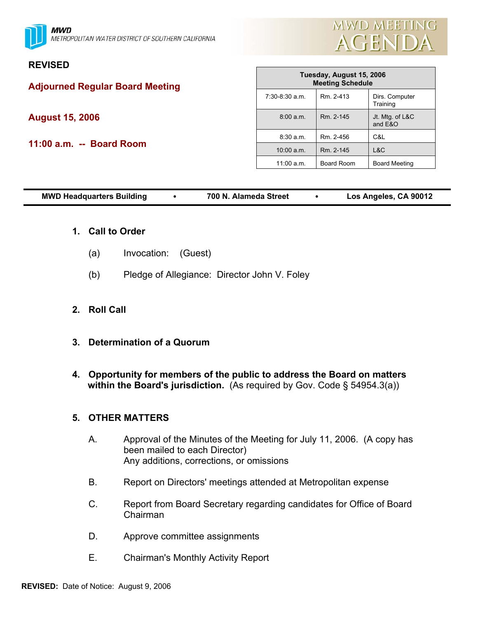



# **REVISED**

**Adjourned Regular Board Meeting** 

**August 15, 2006** 

**11:00 a.m. -- Board Room** 

| Tuesday, August 15, 2006<br><b>Meeting Schedule</b> |                   |                            |  |  |
|-----------------------------------------------------|-------------------|----------------------------|--|--|
| $7:30-8:30$ a.m.                                    | Rm. 2-413         | Dirs. Computer<br>Training |  |  |
| 8:00 a.m.                                           | Rm 2-145          | Jt. Mtg. of L&C<br>and E&O |  |  |
| 8:30a.m.                                            | Rm. 2-456         | C&L                        |  |  |
| 10:00 a.m.                                          | Rm. 2-145         | L&C                        |  |  |
| $11:00$ a.m.                                        | <b>Board Room</b> | <b>Board Meeting</b>       |  |  |

| <b>MWD Headquarters Building</b> | 700 N. Alameda Street |  | Los Angeles, CA 90012 |
|----------------------------------|-----------------------|--|-----------------------|
|----------------------------------|-----------------------|--|-----------------------|

- **1. Call to Order**
	- (a) Invocation: (Guest)
	- (b) Pledge of Allegiance: Director John V. Foley
- **2. Roll Call**
- **3. Determination of a Quorum**
- **4. Opportunity for members of the public to address the Board on matters within the Board's jurisdiction.** (As required by Gov. Code § 54954.3(a))

# **5. OTHER MATTERS**

- A. Approval of the Minutes of the Meeting for July 11, 2006. (A copy has been mailed to each Director) Any additions, corrections, or omissions
- B. Report on Directors' meetings attended at Metropolitan expense
- C. Report from Board Secretary regarding candidates for Office of Board Chairman
- D. Approve committee assignments
- E. Chairman's Monthly Activity Report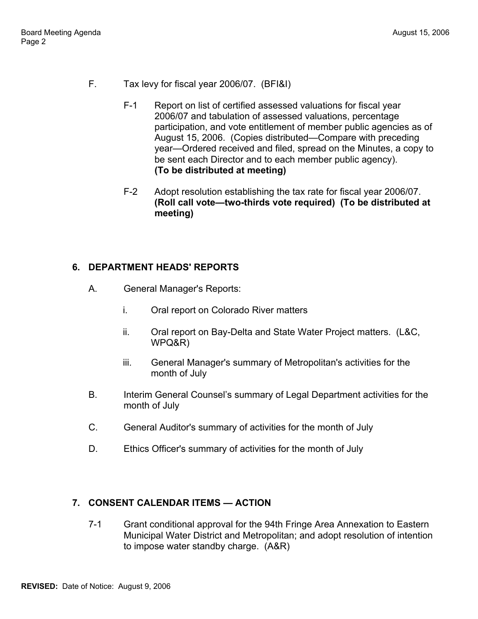- F. Tax levy for fiscal year 2006/07. (BFI&I)
	- F-1 Report on list of certified assessed valuations for fiscal year 2006/07 and tabulation of assessed valuations, percentage participation, and vote entitlement of member public agencies as of August 15, 2006. (Copies distributed—Compare with preceding year—Ordered received and filed, spread on the Minutes, a copy to be sent each Director and to each member public agency). **(To be distributed at meeting)**
	- F-2 Adopt resolution establishing the tax rate for fiscal year 2006/07. **(Roll call vote—two-thirds vote required) (To be distributed at meeting)**

### **6. DEPARTMENT HEADS' REPORTS**

- A. General Manager's Reports:
	- i. Oral report on Colorado River matters
	- ii. Oral report on Bay-Delta and State Water Project matters. (L&C, WPQ&R)
	- iii. General Manager's summary of Metropolitan's activities for the month of July
- B. Interim General Counsel's summary of Legal Department activities for the month of July
- C. General Auditor's summary of activities for the month of July
- D. Ethics Officer's summary of activities for the month of July

# **7. CONSENT CALENDAR ITEMS — ACTION**

 7-1 Grant conditional approval for the 94th Fringe Area Annexation to Eastern Municipal Water District and Metropolitan; and adopt resolution of intention to impose water standby charge. (A&R)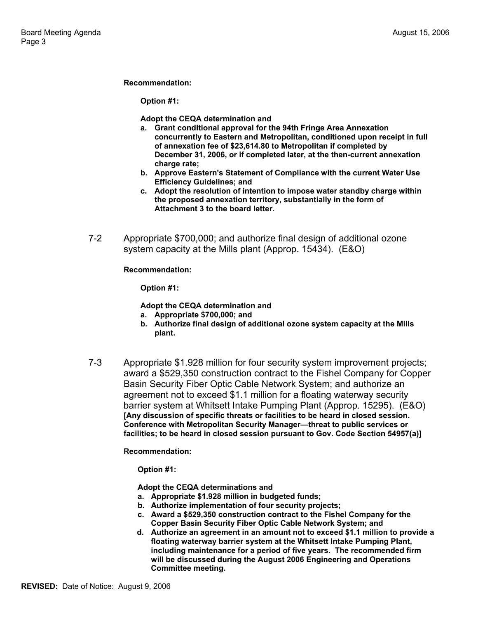#### **Recommendation:**

**Option #1:** 

**Adopt the CEQA determination and** 

- **a. Grant conditional approval for the 94th Fringe Area Annexation concurrently to Eastern and Metropolitan, conditioned upon receipt in full of annexation fee of \$23,614.80 to Metropolitan if completed by December 31, 2006, or if completed later, at the then-current annexation charge rate;**
- **b. Approve Eastern's Statement of Compliance with the current Water Use Efficiency Guidelines; and**
- **c. Adopt the resolution of intention to impose water standby charge within the proposed annexation territory, substantially in the form of Attachment 3 to the board letter.**
- 7-2 Appropriate \$700,000; and authorize final design of additional ozone system capacity at the Mills plant (Approp. 15434). (E&O)

**Recommendation:** 

**Option #1:** 

**Adopt the CEQA determination and** 

- **a. Appropriate \$700,000; and**
- **b. Authorize final design of additional ozone system capacity at the Mills plant.**
- 7-3 Appropriate \$1.928 million for four security system improvement projects; award a \$529,350 construction contract to the Fishel Company for Copper Basin Security Fiber Optic Cable Network System; and authorize an agreement not to exceed \$1.1 million for a floating waterway security barrier system at Whitsett Intake Pumping Plant (Approp. 15295). (E&O) **[Any discussion of specific threats or facilities to be heard in closed session. Conference with Metropolitan Security Manager—threat to public services or facilities; to be heard in closed session pursuant to Gov. Code Section 54957(a)]**

**Recommendation:** 

**Option #1:** 

**Adopt the CEQA determinations and** 

- **a. Appropriate \$1.928 million in budgeted funds;**
- **b. Authorize implementation of four security projects;**
- **c. Award a \$529,350 construction contract to the Fishel Company for the Copper Basin Security Fiber Optic Cable Network System; and**
- **d. Authorize an agreement in an amount not to exceed \$1.1 million to provide a floating waterway barrier system at the Whitsett Intake Pumping Plant, including maintenance for a period of five years. The recommended firm will be discussed during the August 2006 Engineering and Operations Committee meeting.**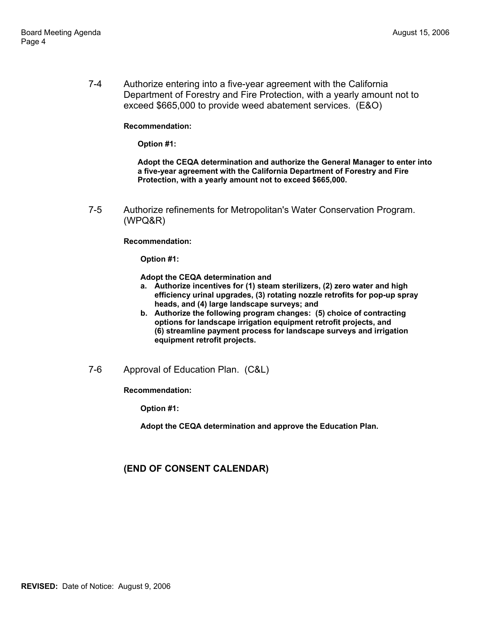7-4 Authorize entering into a five-year agreement with the California Department of Forestry and Fire Protection, with a yearly amount not to exceed \$665,000 to provide weed abatement services. (E&O)

### **Recommendation:**

**Option #1:** 

**Adopt the CEQA determination and authorize the General Manager to enter into a five-year agreement with the California Department of Forestry and Fire Protection, with a yearly amount not to exceed \$665,000.** 

 7-5 Authorize refinements for Metropolitan's Water Conservation Program. (WPQ&R)

**Recommendation:** 

**Option #1:** 

**Adopt the CEQA determination and** 

- **a. Authorize incentives for (1) steam sterilizers, (2) zero water and high efficiency urinal upgrades, (3) rotating nozzle retrofits for pop-up spray heads, and (4) large landscape surveys; and**
- **b. Authorize the following program changes: (5) choice of contracting options for landscape irrigation equipment retrofit projects, and (6) streamline payment process for landscape surveys and irrigation equipment retrofit projects.**
- 7-6 Approval of Education Plan. (C&L)

**Recommendation:** 

**Option #1:** 

**Adopt the CEQA determination and approve the Education Plan.**

### **(END OF CONSENT CALENDAR)**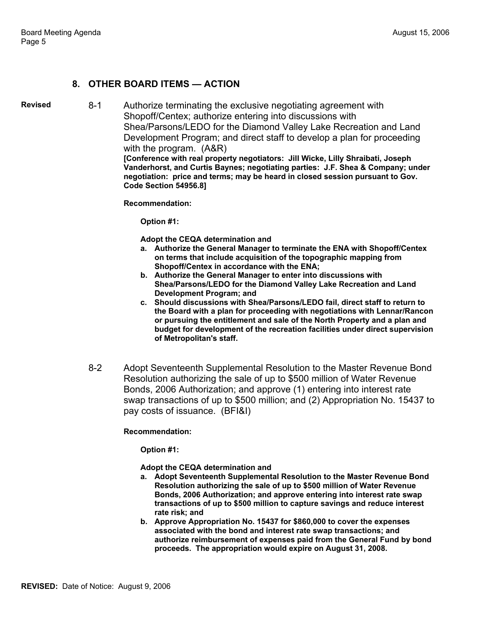### **8. OTHER BOARD ITEMS — ACTION**

**Revised** 8-1 Authorize terminating the exclusive negotiating agreement with Shopoff/Centex; authorize entering into discussions with Shea/Parsons/LEDO for the Diamond Valley Lake Recreation and Land Development Program; and direct staff to develop a plan for proceeding with the program. (A&R)

**[Conference with real property negotiators: Jill Wicke, Lilly Shraibati, Joseph Vanderhorst, and Curtis Baynes; negotiating parties: J.F. Shea & Company; under negotiation: price and terms; may be heard in closed session pursuant to Gov. Code Section 54956.8]** 

**Recommendation:** 

**Option #1:** 

**Adopt the CEQA determination and** 

- **a. Authorize the General Manager to terminate the ENA with Shopoff/Centex on terms that include acquisition of the topographic mapping from Shopoff/Centex in accordance with the ENA;**
- **b. Authorize the General Manager to enter into discussions with Shea/Parsons/LEDO for the Diamond Valley Lake Recreation and Land Development Program; and**
- **c. Should discussions with Shea/Parsons/LEDO fail, direct staff to return to the Board with a plan for proceeding with negotiations with Lennar/Rancon or pursuing the entitlement and sale of the North Property and a plan and budget for development of the recreation facilities under direct supervision of Metropolitan's staff.**
- 8-2 Adopt Seventeenth Supplemental Resolution to the Master Revenue Bond Resolution authorizing the sale of up to \$500 million of Water Revenue Bonds, 2006 Authorization; and approve (1) entering into interest rate swap transactions of up to \$500 million; and (2) Appropriation No. 15437 to pay costs of issuance. (BFI&I)

#### **Recommendation:**

**Option #1:** 

**Adopt the CEQA determination and** 

- **a. Adopt Seventeenth Supplemental Resolution to the Master Revenue Bond Resolution authorizing the sale of up to \$500 million of Water Revenue Bonds, 2006 Authorization; and approve entering into interest rate swap transactions of up to \$500 million to capture savings and reduce interest rate risk; and**
- **b. Approve Appropriation No. 15437 for \$860,000 to cover the expenses associated with the bond and interest rate swap transactions; and authorize reimbursement of expenses paid from the General Fund by bond proceeds. The appropriation would expire on August 31, 2008.**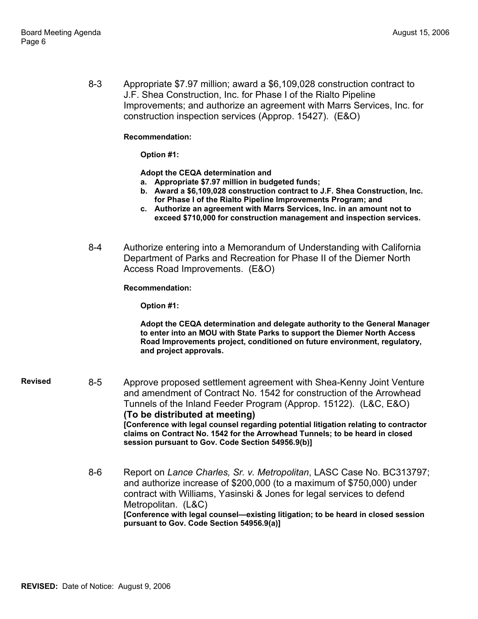8-3 Appropriate \$7.97 million; award a \$6,109,028 construction contract to J.F. Shea Construction, Inc. for Phase I of the Rialto Pipeline Improvements; and authorize an agreement with Marrs Services, Inc. for construction inspection services (Approp. 15427). (E&O)

### **Recommendation:**

**Option #1:** 

**Adopt the CEQA determination and**

- **a. Appropriate \$7.97 million in budgeted funds;**
- **b. Award a \$6,109,028 construction contract to J.F. Shea Construction, Inc. for Phase I of the Rialto Pipeline Improvements Program; and**
- **c. Authorize an agreement with Marrs Services, Inc. in an amount not to exceed \$710,000 for construction management and inspection services.**
- 8-4 Authorize entering into a Memorandum of Understanding with California Department of Parks and Recreation for Phase II of the Diemer North Access Road Improvements. (E&O)

**Recommendation:** 

**Option #1:** 

**Adopt the CEQA determination and delegate authority to the General Manager to enter into an MOU with State Parks to support the Diemer North Access Road Improvements project, conditioned on future environment, regulatory, and project approvals.**

- **Revised** 8-5 Approve proposed settlement agreement with Shea-Kenny Joint Venture and amendment of Contract No. 1542 for construction of the Arrowhead Tunnels of the Inland Feeder Program (Approp. 15122). (L&C, E&O) **(To be distributed at meeting) [Conference with legal counsel regarding potential litigation relating to contractor claims on Contract No. 1542 for the Arrowhead Tunnels; to be heard in closed session pursuant to Gov. Code Section 54956.9(b)]** 
	- 8-6 Report on *Lance Charles, Sr. v. Metropolitan*, LASC Case No. BC313797; and authorize increase of \$200,000 (to a maximum of \$750,000) under contract with Williams, Yasinski & Jones for legal services to defend Metropolitan. (L&C) **[Conference with legal counsel—existing litigation; to be heard in closed session pursuant to Gov. Code Section 54956.9(a)]**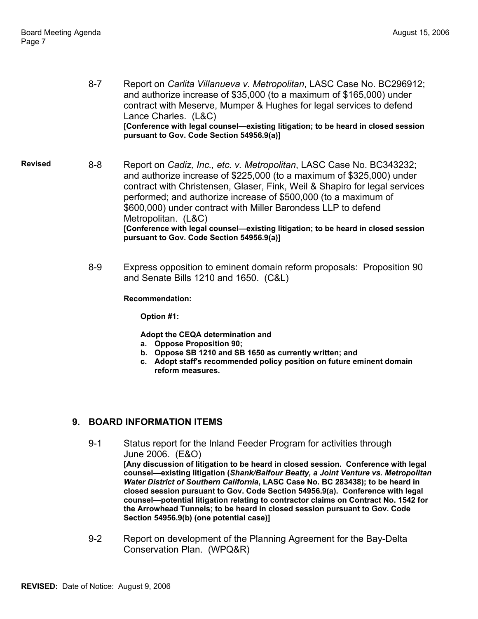8-7 Report on *Carlita Villanueva v. Metropolitan*, LASC Case No. BC296912; and authorize increase of \$35,000 (to a maximum of \$165,000) under contract with Meserve, Mumper & Hughes for legal services to defend Lance Charles. (L&C) **[Conference with legal counsel—existing litigation; to be heard in closed session pursuant to Gov. Code Section 54956.9(a)]** 

**Revised** 8-8 Report on *Cadiz, Inc., etc. v. Metropolitan*, LASC Case No. BC343232; and authorize increase of \$225,000 (to a maximum of \$325,000) under contract with Christensen, Glaser, Fink, Weil & Shapiro for legal services performed; and authorize increase of \$500,000 (to a maximum of \$600,000) under contract with Miller Barondess LLP to defend Metropolitan. (L&C) **[Conference with legal counsel—existing litigation; to be heard in closed session pursuant to Gov. Code Section 54956.9(a)]** 

> 8-9 Express opposition to eminent domain reform proposals: Proposition 90 and Senate Bills 1210 and 1650. (C&L)

### **Recommendation:**

**Option #1:** 

**Adopt the CEQA determination and**

- **a. Oppose Proposition 90;**
- **b. Oppose SB 1210 and SB 1650 as currently written; and**
- **c. Adopt staff's recommended policy position on future eminent domain reform measures.**

# **9. BOARD INFORMATION ITEMS**

- 9-1 Status report for the Inland Feeder Program for activities through June 2006. (E&O) **[Any discussion of litigation to be heard in closed session. Conference with legal counsel—existing litigation (***Shank/Balfour Beatty, a Joint Venture vs. Metropolitan Water District of Southern California***, LASC Case No. BC 283438); to be heard in closed session pursuant to Gov. Code Section 54956.9(a). Conference with legal counsel—potential litigation relating to contractor claims on Contract No. 1542 for the Arrowhead Tunnels; to be heard in closed session pursuant to Gov. Code Section 54956.9(b) (one potential case)]**
- 9-2 Report on development of the Planning Agreement for the Bay-Delta Conservation Plan. (WPQ&R)